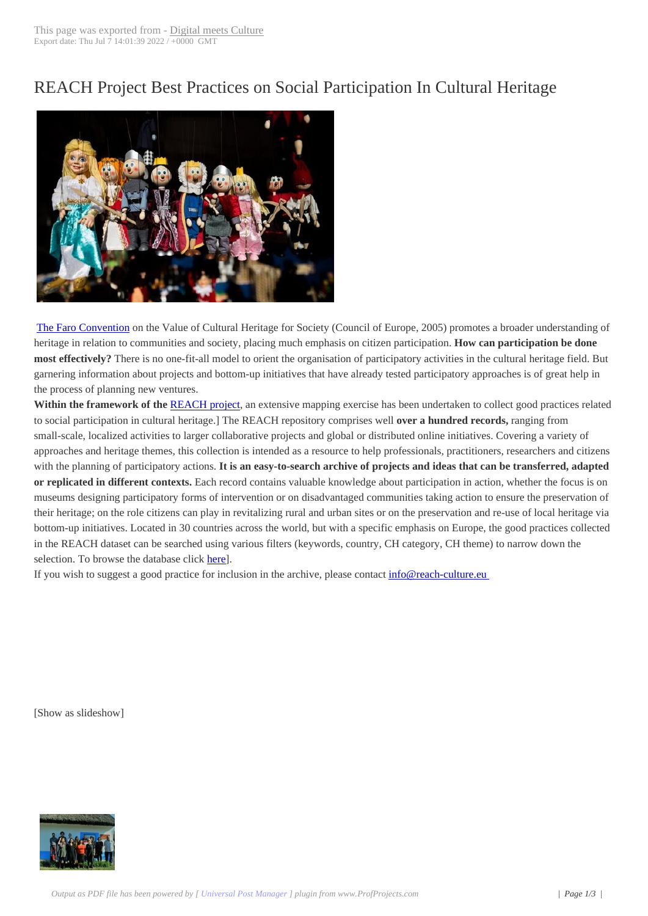## REACH Project B[est Practices on](http://www.digitalmeetsculture.net/?p=53129) Social Participation In Cultural Heritage



The Faro Convention on the Value of Cultural Heritage for Society (Council of Europe, 2005) promotes a broader understanding of heritage in relation to communities and society, placing much emphasis on citizen participation. **How can participation be done most effectively?** There is no one-fit-all model to orient the organisation of participatory activities in the cultural heritage field. But garnering information about projects and bottom-up initiatives that have already tested participatory approaches is of great help in t[he process of plannin](https://www.coe.int/en/web/culture-and-heritage/faro-community)g new ventures.

Within the framework of the **REACH** project, an extensive mapping exercise has been undertaken to collect good practices related to social participation in cultural heritage.] The REACH repository comprises well **over a hundred records,** ranging from small-scale, localized activities to larger collaborative projects and global or distributed online initiatives. Covering a variety of approaches and heritage themes, this collection is intended as a resource to help professionals, practitioners, researchers and citizens with the planning of participat[ory actions.](https://www.reach-culture.eu/) **It is an easy-to-search archive of projects and ideas that can be transferred, adapted or replicated in different contexts.** Each record contains valuable knowledge about participation in action, whether the focus is on museums designing participatory forms of intervention or on disadvantaged communities taking action to ensure the preservation of their heritage; on the role citizens can play in revitalizing rural and urban sites or on the preservation and re-use of local heritage via bottom-up initiatives. Located in 30 countries across the world, but with a specific emphasis on Europe, the good practices collected in the REACH dataset can be searched using various filters (keywords, country, CH category, CH theme) to narrow down the selection. To browse the database click here].

If you wish to suggest a good practice for inclusion in the archive, please contact info@reach-culture.eu

 [Show as slideshow]